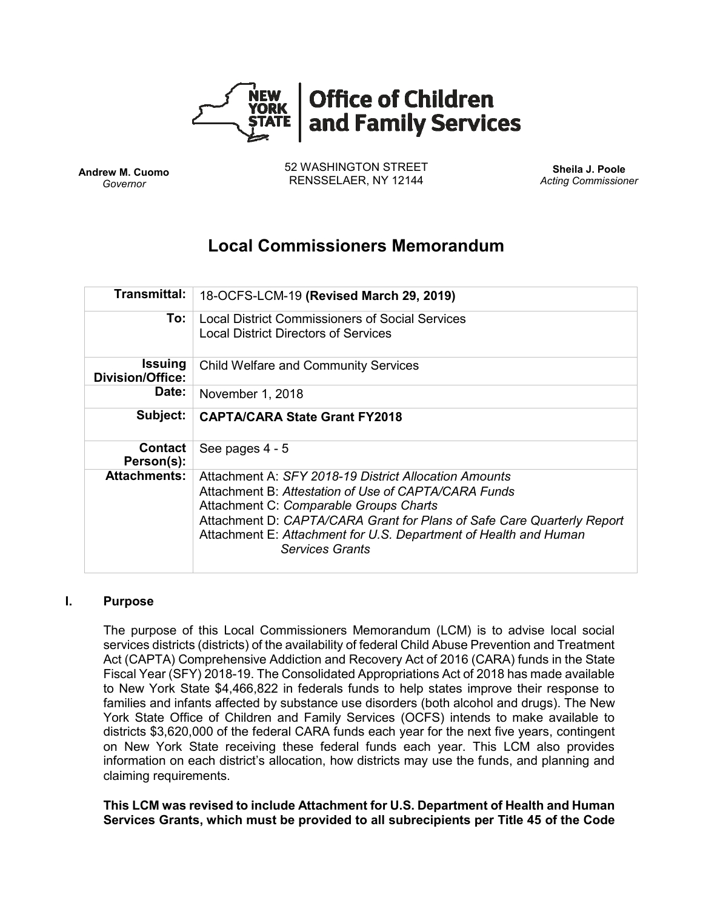

**Andrew M. Cuomo** *Governor*

52 WASHINGTON STREET RENSSELAER, NY 12144

**Sheila J. Poole** *Acting Commissioner*

# **Local Commissioners Memorandum**

| Transmittal:                              | 18-OCFS-LCM-19 (Revised March 29, 2019)                                                                                                                                                                                                                                                                                         |
|-------------------------------------------|---------------------------------------------------------------------------------------------------------------------------------------------------------------------------------------------------------------------------------------------------------------------------------------------------------------------------------|
| To:                                       | Local District Commissioners of Social Services<br><b>Local District Directors of Services</b>                                                                                                                                                                                                                                  |
| <b>Issuing</b><br><b>Division/Office:</b> | <b>Child Welfare and Community Services</b>                                                                                                                                                                                                                                                                                     |
| Date:                                     | November 1, 2018                                                                                                                                                                                                                                                                                                                |
| Subject:                                  | <b>CAPTA/CARA State Grant FY2018</b>                                                                                                                                                                                                                                                                                            |
| <b>Contact</b><br>Person(s):              | See pages 4 - 5                                                                                                                                                                                                                                                                                                                 |
| <b>Attachments:</b>                       | Attachment A: SFY 2018-19 District Allocation Amounts<br>Attachment B: Attestation of Use of CAPTA/CARA Funds<br>Attachment C: Comparable Groups Charts<br>Attachment D: CAPTA/CARA Grant for Plans of Safe Care Quarterly Report<br>Attachment E: Attachment for U.S. Department of Health and Human<br><b>Services Grants</b> |

#### **I. Purpose**

The purpose of this Local Commissioners Memorandum (LCM) is to advise local social services districts (districts) of the availability of federal Child Abuse Prevention and Treatment Act (CAPTA) Comprehensive Addiction and Recovery Act of 2016 (CARA) funds in the State Fiscal Year (SFY) 2018-19. The Consolidated Appropriations Act of 2018 has made available to New York State \$4,466,822 in federals funds to help states improve their response to families and infants affected by substance use disorders (both alcohol and drugs). The New York State Office of Children and Family Services (OCFS) intends to make available to districts \$3,620,000 of the federal CARA funds each year for the next five years, contingent on New York State receiving these federal funds each year. This LCM also provides information on each district's allocation, how districts may use the funds, and planning and claiming requirements.

**This LCM was revised to include Attachment for U.S. Department of Health and Human Services Grants, which must be provided to all subrecipients per Title 45 of the Code**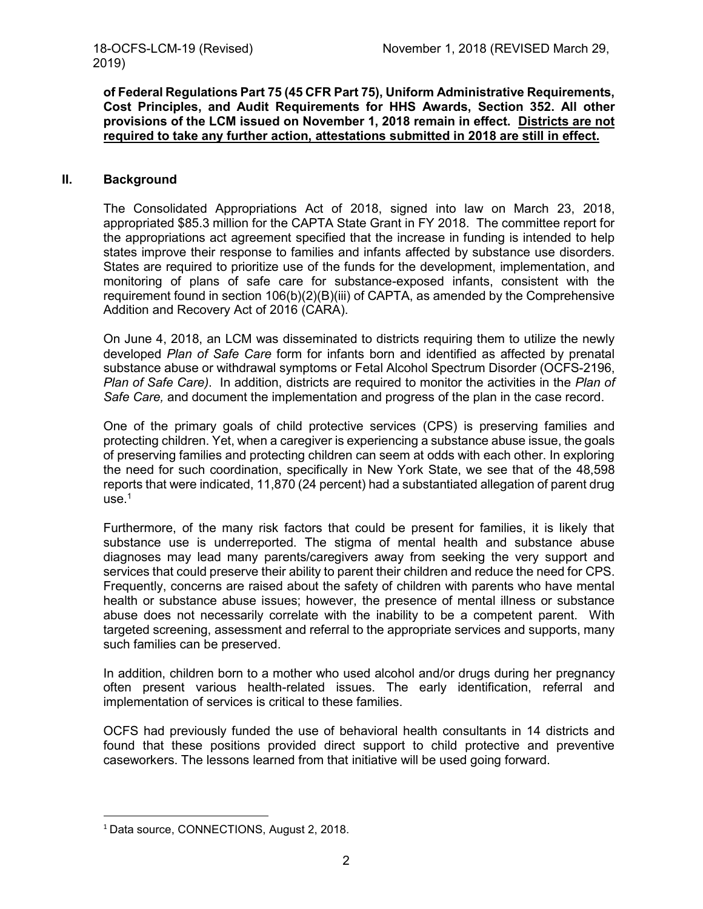**of Federal Regulations Part 75 (45 CFR Part 75), Uniform Administrative Requirements, Cost Principles, and Audit Requirements for HHS Awards, Section 352. All other provisions of the LCM issued on November 1, 2018 remain in effect. Districts are not required to take any further action, attestations submitted in 2018 are still in effect.** 

#### **II. Background**

The Consolidated Appropriations Act of 2018, signed into law on March 23, 2018, appropriated \$85.3 million for the CAPTA State Grant in FY 2018. The committee report for the appropriations act agreement specified that the increase in funding is intended to help states improve their response to families and infants affected by substance use disorders. States are required to prioritize use of the funds for the development, implementation, and monitoring of plans of safe care for substance-exposed infants, consistent with the requirement found in section 106(b)(2)(B)(iii) of CAPTA, as amended by the Comprehensive Addition and Recovery Act of 2016 (CARA).

On June 4, 2018, an LCM was disseminated to districts requiring them to utilize the newly developed *Plan of Safe Care* form for infants born and identified as affected by prenatal substance abuse or withdrawal symptoms or Fetal Alcohol Spectrum Disorder (OCFS-2196, *Plan of Safe Care)*. In addition, districts are required to monitor the activities in the *Plan of Safe Care,* and document the implementation and progress of the plan in the case record.

One of the primary goals of child protective services (CPS) is preserving families and protecting children. Yet, when a caregiver is experiencing a substance abuse issue, the goals of preserving families and protecting children can seem at odds with each other. In exploring the need for such coordination, specifically in New York State, we see that of the 48,598 reports that were indicated, 11,870 (24 percent) had a substantiated allegation of parent drug use. 1

Furthermore, of the many risk factors that could be present for families, it is likely that substance use is underreported. The stigma of mental health and substance abuse diagnoses may lead many parents/caregivers away from seeking the very support and services that could preserve their ability to parent their children and reduce the need for CPS. Frequently, concerns are raised about the safety of children with parents who have mental health or substance abuse issues; however, the presence of mental illness or substance abuse does not necessarily correlate with the inability to be a competent parent. With targeted screening, assessment and referral to the appropriate services and supports, many such families can be preserved.

In addition, children born to a mother who used alcohol and/or drugs during her pregnancy often present various health-related issues. The early identification, referral and implementation of services is critical to these families.

OCFS had previously funded the use of behavioral health consultants in 14 districts and found that these positions provided direct support to child protective and preventive caseworkers. The lessons learned from that initiative will be used going forward.

 $\overline{a}$ 

<sup>&</sup>lt;sup>1</sup> Data source, CONNECTIONS, August 2, 2018.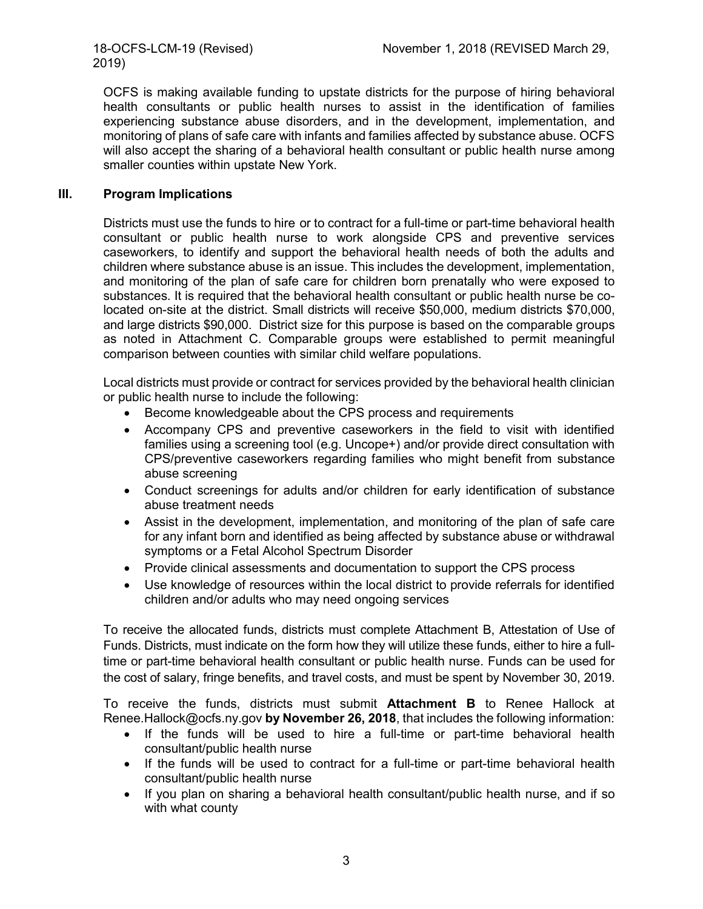2019)

OCFS is making available funding to upstate districts for the purpose of hiring behavioral health consultants or public health nurses to assist in the identification of families experiencing substance abuse disorders, and in the development, implementation, and monitoring of plans of safe care with infants and families affected by substance abuse. OCFS will also accept the sharing of a behavioral health consultant or public health nurse among smaller counties within upstate New York.

## **III. Program Implications**

Districts must use the funds to hire or to contract for a full-time or part-time behavioral health consultant or public health nurse to work alongside CPS and preventive services caseworkers, to identify and support the behavioral health needs of both the adults and children where substance abuse is an issue. This includes the development, implementation, and monitoring of the plan of safe care for children born prenatally who were exposed to substances. It is required that the behavioral health consultant or public health nurse be colocated on-site at the district. Small districts will receive \$50,000, medium districts \$70,000, and large districts \$90,000. District size for this purpose is based on the comparable groups as noted in Attachment C. Comparable groups were established to permit meaningful comparison between counties with similar child welfare populations.

Local districts must provide or contract for services provided by the behavioral health clinician or public health nurse to include the following:

- Become knowledgeable about the CPS process and requirements
- Accompany CPS and preventive caseworkers in the field to visit with identified families using a screening tool (e.g. Uncope+) and/or provide direct consultation with CPS/preventive caseworkers regarding families who might benefit from substance abuse screening
- Conduct screenings for adults and/or children for early identification of substance abuse treatment needs
- Assist in the development, implementation, and monitoring of the plan of safe care for any infant born and identified as being affected by substance abuse or withdrawal symptoms or a Fetal Alcohol Spectrum Disorder
- Provide clinical assessments and documentation to support the CPS process
- Use knowledge of resources within the local district to provide referrals for identified children and/or adults who may need ongoing services

To receive the allocated funds, districts must complete Attachment B, Attestation of Use of Funds. Districts, must indicate on the form how they will utilize these funds, either to hire a fulltime or part-time behavioral health consultant or public health nurse. Funds can be used for the cost of salary, fringe benefits, and travel costs, and must be spent by November 30, 2019.

To receive the funds, districts must submit **Attachment B** to Renee Hallock at Renee.Hallock@ocfs.ny.gov **by November 26, 2018**, that includes the following information:

- If the funds will be used to hire a full-time or part-time behavioral health consultant/public health nurse
- If the funds will be used to contract for a full-time or part-time behavioral health consultant/public health nurse
- If you plan on sharing a behavioral health consultant/public health nurse, and if so with what county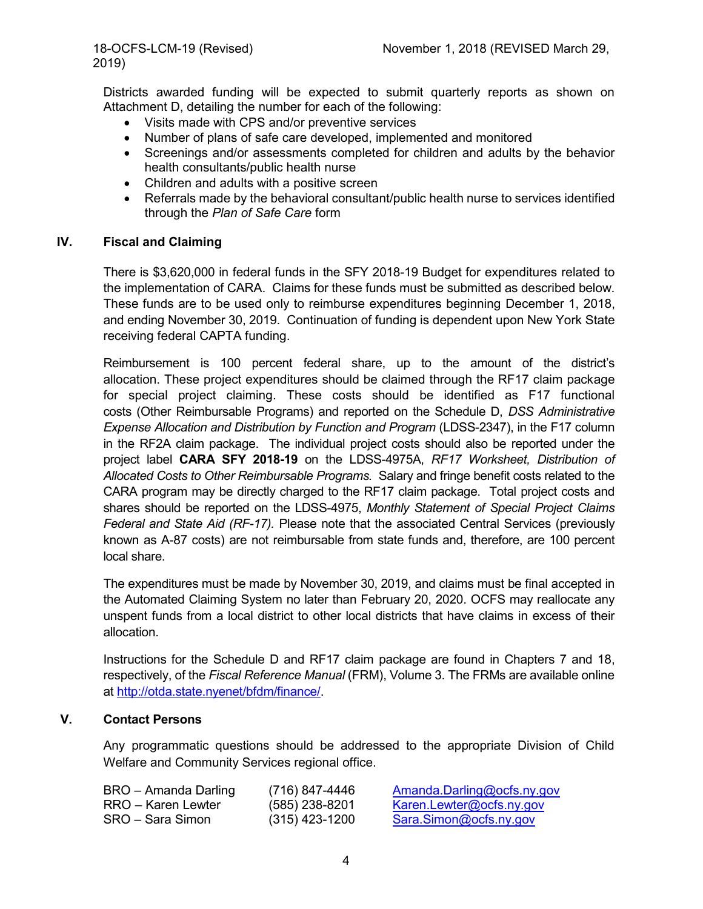Districts awarded funding will be expected to submit quarterly reports as shown on Attachment D, detailing the number for each of the following:

- Visits made with CPS and/or preventive services
- Number of plans of safe care developed, implemented and monitored
- Screenings and/or assessments completed for children and adults by the behavior health consultants/public health nurse
- Children and adults with a positive screen
- Referrals made by the behavioral consultant/public health nurse to services identified through the *Plan of Safe Care* form

### **IV. Fiscal and Claiming**

There is \$3,620,000 in federal funds in the SFY 2018-19 Budget for expenditures related to the implementation of CARA. Claims for these funds must be submitted as described below. These funds are to be used only to reimburse expenditures beginning December 1, 2018, and ending November 30, 2019. Continuation of funding is dependent upon New York State receiving federal CAPTA funding.

Reimbursement is 100 percent federal share, up to the amount of the district's allocation. These project expenditures should be claimed through the RF17 claim package for special project claiming. These costs should be identified as F17 functional costs (Other Reimbursable Programs) and reported on the Schedule D, *DSS Administrative Expense Allocation and Distribution by Function and Program* (LDSS-2347), in the F17 column in the RF2A claim package. The individual project costs should also be reported under the project label **CARA SFY 2018-19** on the LDSS-4975A, *RF17 Worksheet, Distribution of Allocated Costs to Other Reimbursable Programs.* Salary and fringe benefit costs related to the CARA program may be directly charged to the RF17 claim package. Total project costs and shares should be reported on the LDSS-4975, *Monthly Statement of Special Project Claims Federal and State Aid (RF-17).* Please note that the associated Central Services (previously known as A-87 costs) are not reimbursable from state funds and, therefore, are 100 percent local share.

The expenditures must be made by November 30, 2019, and claims must be final accepted in the Automated Claiming System no later than February 20, 2020. OCFS may reallocate any unspent funds from a local district to other local districts that have claims in excess of their allocation.

Instructions for the Schedule D and RF17 claim package are found in Chapters 7 and 18, respectively, of the *Fiscal Reference Manual* (FRM), Volume 3. The FRMs are available online at [http://otda.state.nyenet/bfdm/finance/.](http://otda.state.nyenet/bfdm/finance/)

## **V. Contact Persons**

Any programmatic questions should be addressed to the appropriate Division of Child Welfare and Community Services regional office.

| BRO – Amanda Darling | (716) 847-4446   | Amanda.Darling@ocfs.ny.gov |
|----------------------|------------------|----------------------------|
| RRO – Karen Lewter   | $(585)$ 238-8201 | Karen.Lewter@ocfs.ny.gov   |
| SRO – Sara Simon     | $(315)$ 423-1200 | Sara.Simon@ocfs.ny.gov     |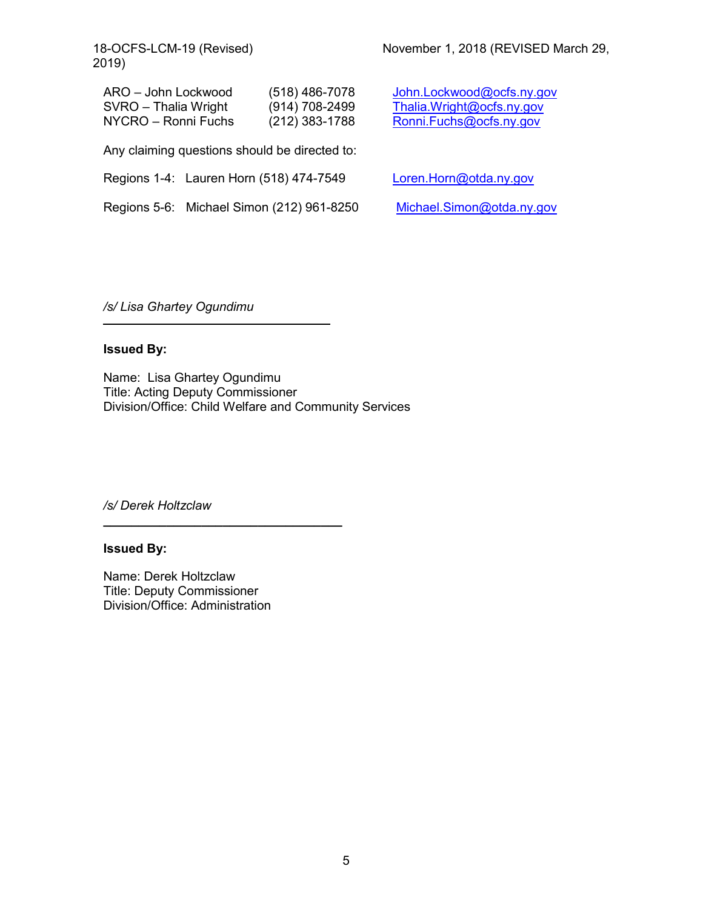2019)

| ARO - John Lockwood  | $(518)$ 486-7078   |
|----------------------|--------------------|
| SVRO – Thalia Wright | $(914) 708 - 2499$ |
| NYCRO – Ronni Fuchs  | (212) 383-1788     |

Any claiming questions should be directed to:

Regions 1-4: Lauren Horn (518) 474-7549 [Loren.Horn@otda.ny.gov](mailto:Loren.Horn@otda.ny.gov)

Regions 5-6: Michael Simon (212) 961-8250 [Michael.Simon@otda.ny.gov](mailto:Michael.Simon@otda.ny.gov)

[John.Lockwood@ocfs.ny.gov](mailto:John.Lockwood@ocfs.ny.gov) [Thalia.Wright@ocfs.ny.gov](mailto:Thalia.Wright@ocfs.ny.gov) [Ronni.Fuchs@ocfs.ny.gov](mailto:Ronni.Fuchs@ocfs.ny.gov)

*/s/ Lisa Ghartey Ogundimu*

## **Issued By:**

Name: Lisa Ghartey Ogundimu Title: Acting Deputy Commissioner Division/Office: Child Welfare and Community Services

*/s/ Derek Holtzclaw*

#### **Issued By:**

Name: Derek Holtzclaw Title: Deputy Commissioner Division/Office: Administration

**\_\_\_\_\_\_\_\_\_\_\_\_\_\_\_\_\_\_\_\_\_\_\_\_\_\_\_\_\_\_\_\_\_\_**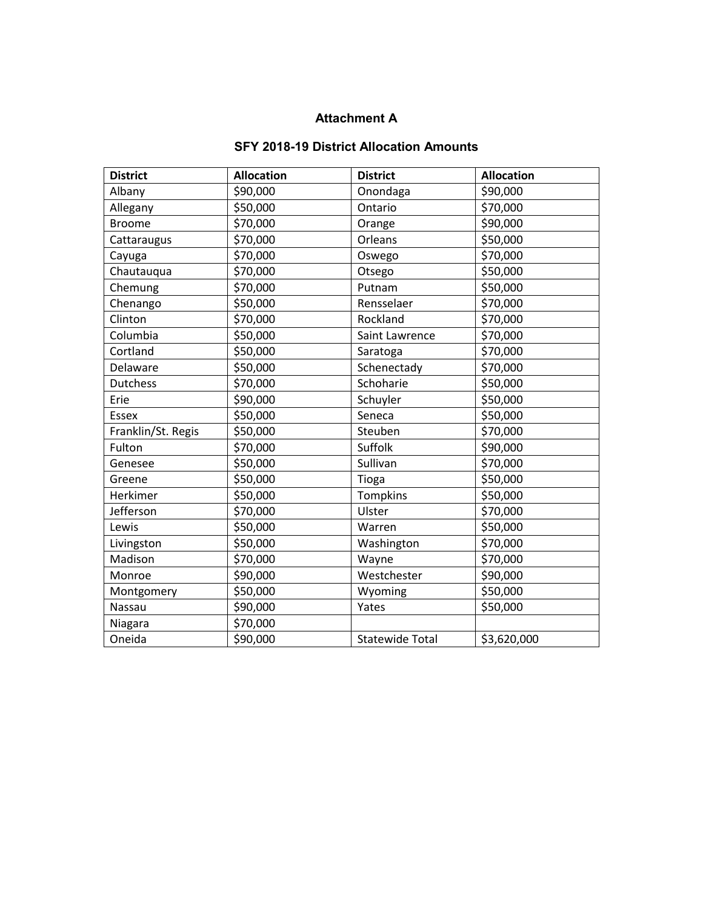## **Attachment A**

## **SFY 2018-19 District Allocation Amounts**

| <b>District</b>    | <b>Allocation</b> | <b>District</b>        | <b>Allocation</b> |
|--------------------|-------------------|------------------------|-------------------|
| Albany             | \$90,000          | Onondaga               | \$90,000          |
| Allegany           | \$50,000          | Ontario                | \$70,000          |
| <b>Broome</b>      | \$70,000          | Orange                 | \$90,000          |
| Cattaraugus        | \$70,000          | Orleans                | \$50,000          |
| Cayuga             | \$70,000          | Oswego                 | \$70,000          |
| Chautauqua         | \$70,000          | Otsego                 | \$50,000          |
| Chemung            | \$70,000          | Putnam                 | \$50,000          |
| Chenango           | \$50,000          | Rensselaer             | \$70,000          |
| Clinton            | \$70,000          | Rockland               | \$70,000          |
| Columbia           | \$50,000          | Saint Lawrence         | \$70,000          |
| Cortland           | \$50,000          | Saratoga               | \$70,000          |
| Delaware           | \$50,000          | Schenectady            | \$70,000          |
| <b>Dutchess</b>    | \$70,000          | Schoharie              | \$50,000          |
| Erie               | \$90,000          | Schuyler               | \$50,000          |
| <b>Essex</b>       | \$50,000          | Seneca                 | \$50,000          |
| Franklin/St. Regis | \$50,000          | Steuben                | \$70,000          |
| Fulton             | \$70,000          | Suffolk                | \$90,000          |
| Genesee            | \$50,000          | Sullivan               | \$70,000          |
| Greene             | \$50,000          | Tioga                  | \$50,000          |
| Herkimer           | \$50,000          | Tompkins               | \$50,000          |
| Jefferson          | \$70,000          | Ulster                 | \$70,000          |
| Lewis              | \$50,000          | Warren                 | \$50,000          |
| Livingston         | \$50,000          | Washington             | \$70,000          |
| Madison            | \$70,000          | Wayne                  | \$70,000          |
| Monroe             | \$90,000          | Westchester            | \$90,000          |
| Montgomery         | \$50,000          | Wyoming                | \$50,000          |
| Nassau             | \$90,000          | Yates                  | \$50,000          |
| Niagara            | \$70,000          |                        |                   |
| Oneida             | \$90,000          | <b>Statewide Total</b> | \$3,620,000       |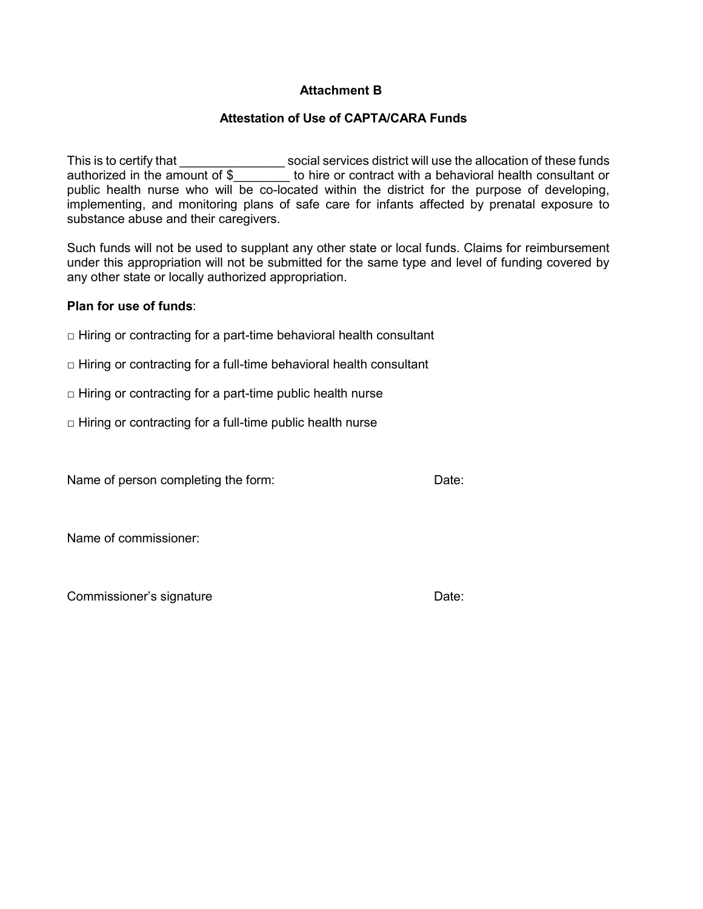## **Attachment B**

## **Attestation of Use of CAPTA/CARA Funds**

This is to certify that \_\_\_\_\_\_\_\_\_\_\_\_\_\_\_\_\_\_\_\_\_ social services district will use the allocation of these funds authorized in the amount of \$\_\_\_\_\_\_\_\_\_ to hire or contract with a behavioral health consultant or public health nurse who will be co-located within the district for the purpose of developing, implementing, and monitoring plans of safe care for infants affected by prenatal exposure to substance abuse and their caregivers.

Such funds will not be used to supplant any other state or local funds. Claims for reimbursement under this appropriation will not be submitted for the same type and level of funding covered by any other state or locally authorized appropriation.

#### **Plan for use of funds**:

- $\Box$  Hiring or contracting for a part-time behavioral health consultant
- $\Box$  Hiring or contracting for a full-time behavioral health consultant
- $\Box$  Hiring or contracting for a part-time public health nurse
- $\Box$  Hiring or contracting for a full-time public health nurse

Name of person completing the form: Date:

Name of commissioner:

Commissioner's signature Date: Date: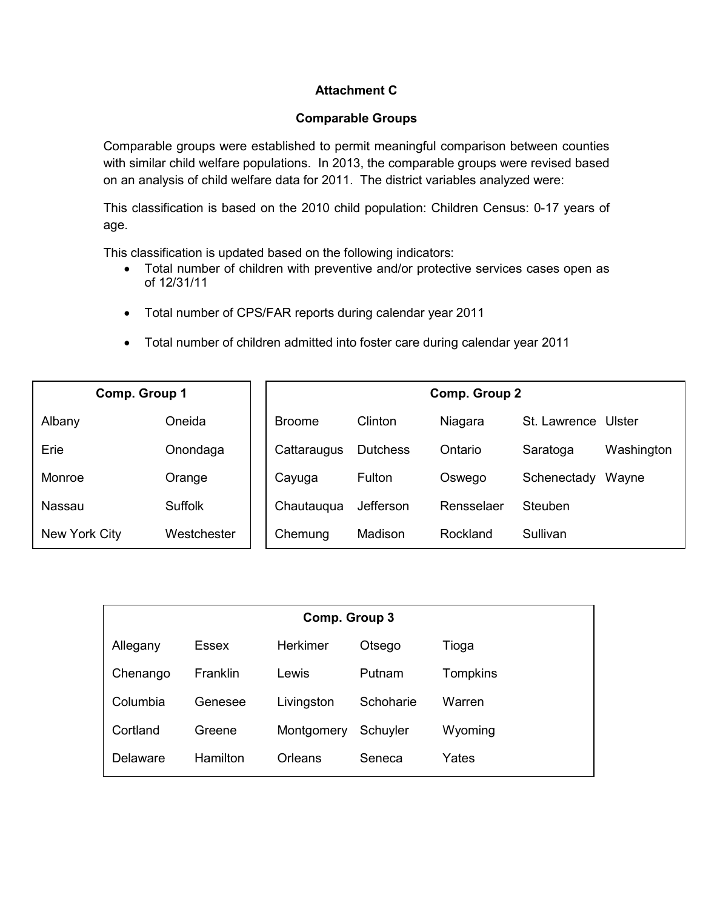## **Attachment C**

#### **Comparable Groups**

Comparable groups were established to permit meaningful comparison between counties with similar child welfare populations. In 2013, the comparable groups were revised based on an analysis of child welfare data for 2011. The district variables analyzed were:

This classification is based on the 2010 child population: Children Census: 0-17 years of age.

This classification is updated based on the following indicators:

- Total number of children with preventive and/or protective services cases open as of 12/31/11
- Total number of CPS/FAR reports during calendar year 2011
- Total number of children admitted into foster care during calendar year 2011

| Comp. Group 1 |                |               |                 | Comp. Group 2 |                     |            |
|---------------|----------------|---------------|-----------------|---------------|---------------------|------------|
| Albany        | Oneida         | <b>Broome</b> | Clinton         | Niagara       | St. Lawrence Ulster |            |
| Erie          | Onondaga       | Cattaraugus   | <b>Dutchess</b> | Ontario       | Saratoga            | Washington |
| Monroe        | Orange         | Cayuga        | <b>Fulton</b>   | Oswego        | Schenectady         | Wayne      |
| Nassau        | <b>Suffolk</b> | Chautaugua    | Jefferson       | Rensselaer    | Steuben             |            |
| New York City | Westchester    | Chemung       | Madison         | Rockland      | Sullivan            |            |

| Comp. Group 3 |          |            |           |                 |  |
|---------------|----------|------------|-----------|-----------------|--|
| Allegany      | Essex    | Herkimer   | Otsego    | Tioga           |  |
| Chenango      | Franklin | Lewis      | Putnam    | <b>Tompkins</b> |  |
| Columbia      | Genesee  | Livingston | Schoharie | Warren          |  |
| Cortland      | Greene   | Montgomery | Schuyler  | Wyoming         |  |
| Delaware      | Hamilton | Orleans    | Seneca    | Yates           |  |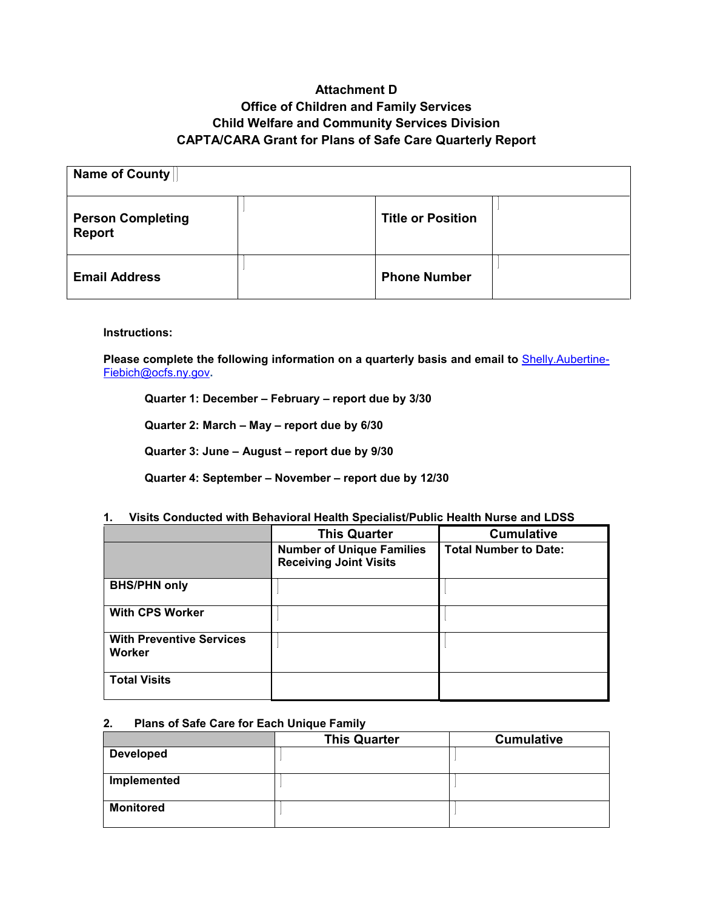## **Attachment D Office of Children and Family Services Child Welfare and Community Services Division CAPTA/CARA Grant for Plans of Safe Care Quarterly Report**

| Name of County                            |  |                          |  |
|-------------------------------------------|--|--------------------------|--|
| <b>Person Completing</b><br><b>Report</b> |  | <b>Title or Position</b> |  |
| <b>Email Address</b>                      |  | <b>Phone Number</b>      |  |

**Instructions:**

Please complete the following information on a quarterly basis and email to **[Shelly.Aubertine-](mailto:Shelly.Aubertine-Fiebich@ocfs.ny.gov)**[Fiebich@ocfs.ny.gov](mailto:Shelly.Aubertine-Fiebich@ocfs.ny.gov)**.** 

**Quarter 1: December – February – report due by 3/30**

**Quarter 2: March – May – report due by 6/30**

**Quarter 3: June – August – report due by 9/30**

**Quarter 4: September – November – report due by 12/30**

|                                           | <b>This Quarter</b>                                               | <b>Cumulative</b>            |  |
|-------------------------------------------|-------------------------------------------------------------------|------------------------------|--|
|                                           | <b>Number of Unique Families</b><br><b>Receiving Joint Visits</b> | <b>Total Number to Date:</b> |  |
| <b>BHS/PHN only</b>                       |                                                                   |                              |  |
| <b>With CPS Worker</b>                    |                                                                   |                              |  |
| <b>With Preventive Services</b><br>Worker |                                                                   |                              |  |
| <b>Total Visits</b>                       |                                                                   |                              |  |

#### **1. Visits Conducted with Behavioral Health Specialist/Public Health Nurse and LDSS**

#### **2. Plans of Safe Care for Each Unique Family**

|                  | <b>This Quarter</b> | <b>Cumulative</b> |
|------------------|---------------------|-------------------|
| <b>Developed</b> |                     |                   |
| Implemented      |                     |                   |
| <b>Monitored</b> |                     |                   |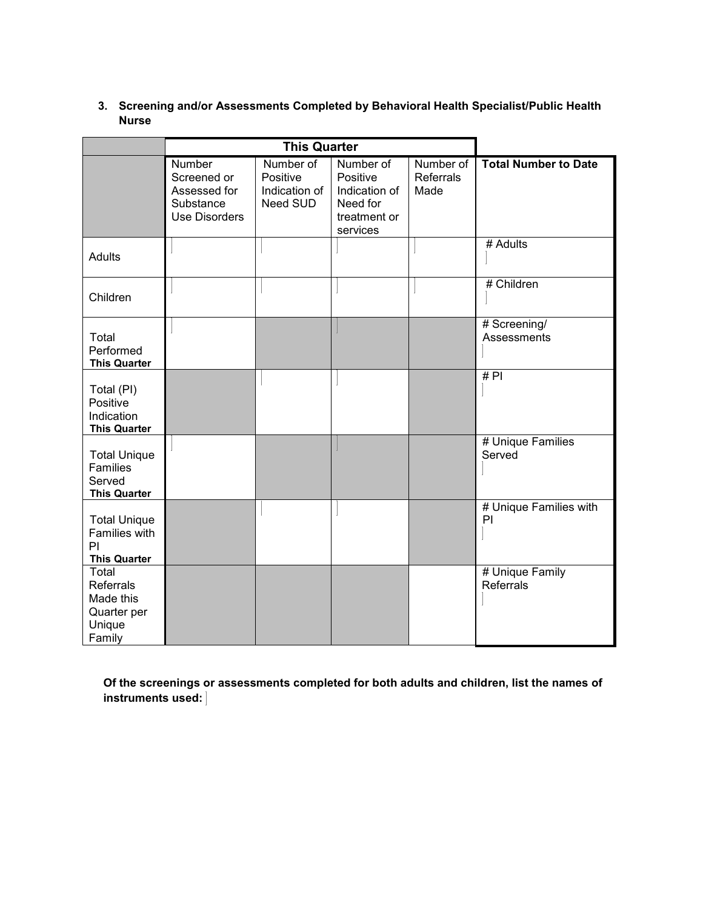### **3. Screening and/or Assessments Completed by Behavioral Health Specialist/Public Health Nurse**

|                                                                         | <b>This Quarter</b>                                                               |                                                    |                                                                                |                                |                              |
|-------------------------------------------------------------------------|-----------------------------------------------------------------------------------|----------------------------------------------------|--------------------------------------------------------------------------------|--------------------------------|------------------------------|
|                                                                         | <b>Number</b><br>Screened or<br>Assessed for<br>Substance<br><b>Use Disorders</b> | Number of<br>Positive<br>Indication of<br>Need SUD | Number of<br>Positive<br>Indication of<br>Need for<br>treatment or<br>services | Number of<br>Referrals<br>Made | <b>Total Number to Date</b>  |
| <b>Adults</b>                                                           |                                                                                   |                                                    |                                                                                |                                | # Adults                     |
| Children                                                                |                                                                                   |                                                    |                                                                                |                                | # Children                   |
| Total<br>Performed<br><b>This Quarter</b>                               |                                                                                   |                                                    |                                                                                |                                | # Screening/<br>Assessments  |
| Total (PI)<br>Positive<br>Indication<br><b>This Quarter</b>             |                                                                                   |                                                    |                                                                                |                                | #P1                          |
| <b>Total Unique</b><br><b>Families</b><br>Served<br><b>This Quarter</b> |                                                                                   |                                                    |                                                                                |                                | # Unique Families<br>Served  |
| <b>Total Unique</b><br>Families with<br>PI<br><b>This Quarter</b>       |                                                                                   |                                                    |                                                                                |                                | # Unique Families with<br>PI |
| Total<br>Referrals<br>Made this<br>Quarter per<br>Unique<br>Family      |                                                                                   |                                                    |                                                                                |                                | # Unique Family<br>Referrals |

**Of the screenings or assessments completed for both adults and children, list the names of instruments used:**